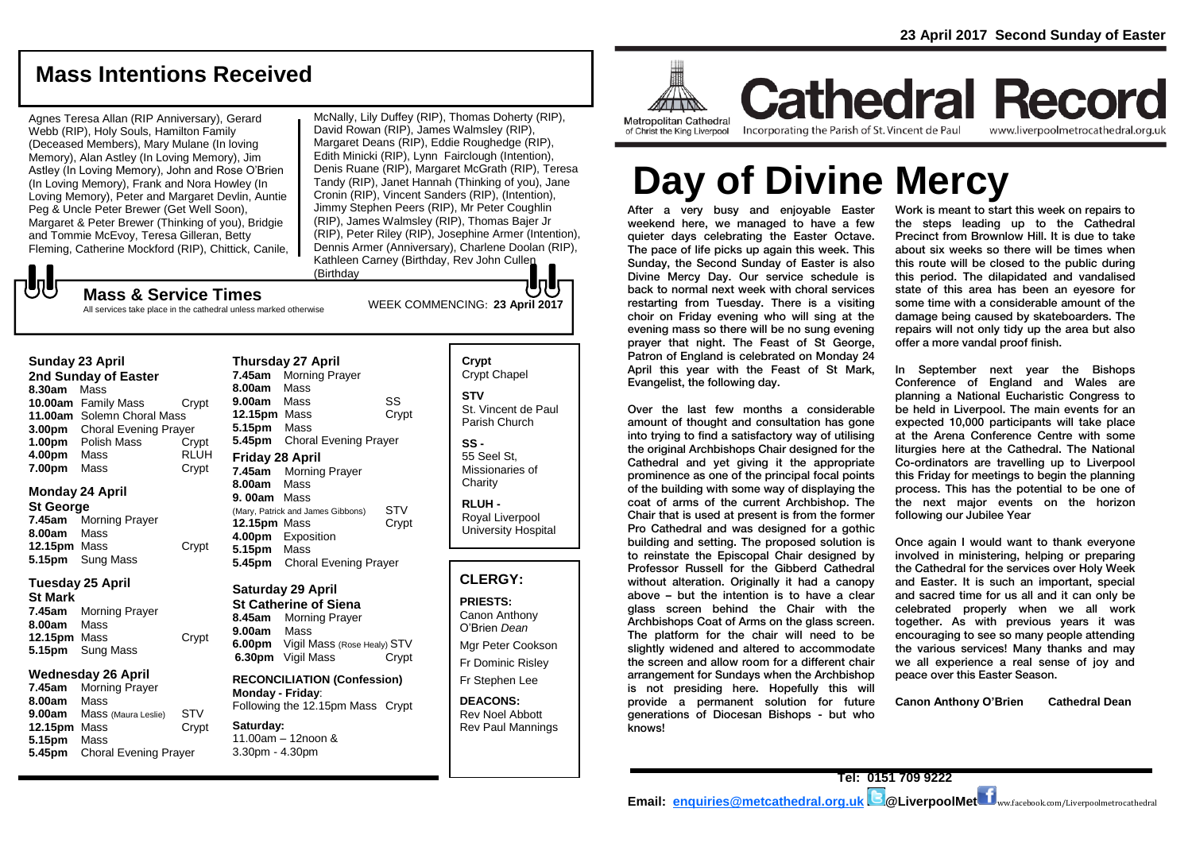## **Mass Intentions Received**

Agnes Teresa Allan (RIP Anniversary), Gerard Webb (RIP), Holy Souls, Hamilton Family (Deceased Members), Mary Mulane (In loving Memory), Alan Astley (In Loving Memory), Jim Astley (In Loving Memory), John and Rose O'Brien (In Loving Memory), Frank and Nora Howley (In Loving Memory), Peter and Margaret Devlin, Auntie Peg & Uncle Peter Brewer (Get Well Soon), Margaret & Peter Brewer (Thinking of you), Bridgie and Tommie McEvoy, Teresa Gilleran, Betty Fleming, Catherine Mockford (RIP), Chittick, Canile,

WEEK COMMENCING: **23 April <sup>2017</sup> Mass & Service Times** McNally, Lily Duffey (RIP), Thomas Doherty (RIP), David Rowan (RIP), James Walmsley (RIP), Margaret Deans (RIP), Eddie Roughedge (RIP), Edith Minicki (RIP), Lynn Fairclough (Intention), Denis Ruane (RIP), Margaret McGrath (RIP), Teresa Tandy (RIP), Janet Hannah (Thinking of you), Jane Cronin (RIP), Vincent Sanders (RIP), (Intention), Jimmy Stephen Peers (RIP), Mr Peter Coughlin (RIP), James Walmsley (RIP), Thomas Bajer Jr (RIP), Peter Riley (RIP), Josephine Armer (Intention), Dennis Armer (Anniversary), Charlene Doolan (RIP), Kathleen Carney (Birthday, Rev John Cullen (Birthday

## **しし**

All services take place in the cathedral unless marked otherwise

### **Sunday 23 April**

**2nd Sunday of Easter 8.30am** Mass **10.00am** Family Mass Crypt **11.00am** Solemn Choral Mass **3.00pm** Choral Evening Prayer **1.00pm** Polish Mass Crypt **4.00pm** Mass RLUH **7.00pm** Mass Crypt

### **Monday 24 April**

**St George 7.45am** Morning Prayer **8.00am** Mass **12.15pm** Mass Crypt **5.15pm** Sung Mass

### **Tuesday 25 April**

**St Mark 7.45am** Morning Prayer **8.00am** Mass **12.15pm** Mass Crypt **5.15pm** Sung Mass

### **Wednesday 26 April**

**7.45am** Morning Prayer **8.00am** Mass **9.00am** Mass (Maura Leslie) STV **12.15pm** Mass Crypt **5.15pm** Mass **5.45pm** Choral Evening Prayer

**Thursday 27 April 7.45am** Morning Prayer **8.00am** Mass **9.00am** Mass SS **12.15pm** Mass Crypt **5.15pm** Mass **5.45pm** Choral Evening Prayer **Friday 28 April 7.45am** Morning Prayer **8.00am** Mass **9. 00am** Mass (Mary, Patrick and James Gibbons) STV<br>**12.15pm** Mass Crypt **12.15pm Mass 4.00pm** Exposition **5.15pm** Mass **5.45pm** Choral Evening Prayer

#### **Saturday 29 April St Catherine of Siena 8.45am** Morning Prayer

**9.00am** Mass **6.00pm** Vigil Mass (Rose Healy) STV **6.30pm** Vigil Mass Crypt

**RECONCILIATION (Confession) Monday - Friday**: Following the 12.15pm Mass Crypt

#### **Saturday:** 11.00am – 12noon & 3.30pm - 4.30pm

Crypt Chapel **STV** St. Vincent de Paul Parish Church **SS -** 55 Seel St, Missionaries of **Charity RLUH -** Royal Liverpool University Hospital

**Crypt** 

### **CLERGY:**

**PRIESTS:** Canon Anthony O'Brien *Dean* Mgr Peter Cookson Fr Dominic Risley Fr Stephen Lee

**DEACONS:** Rev Noel Abbott Rev Paul Mannings



**Cathedral Record** Incorporating the Parish of St. Vincent de Paul www.liverpoolmetrocathedral.org.uk

# **Day of Divine Mercy**

After a very busy and enjoyable Easter weekend here, we managed to have a few quieter days celebrating the Easter Octave. The pace of life picks up again this week. This Sunday, the Second Sunday of Easter is also Divine Mercy Day. Our service schedule is back to normal next week with choral services restarting from Tuesday. There is a visiting choir on Friday evening who will sing at the evening mass so there will be no sung evening prayer that night. The Feast of St George, Patron of England is celebrated on Monday 24 April this year with the Feast of St Mark, Evangelist, the following day.

Over the last few months a considerable amount of thought and consultation has gone into trying to find a satisfactory way of utilising the original Archbishops Chair designed for the Cathedral and yet giving it the appropriate prominence as one of the principal focal points of the building with some way of displaying the coat of arms of the current Archbishop. The Chair that is used at present is from the former Pro Cathedral and was designed for a gothic building and setting. The proposed solution is to reinstate the Episcopal Chair designed by Professor Russell for the Gibberd Cathedral without alteration. Originally it had a canopy above – but the intention is to have a clear glass screen behind the Chair with the Archbishops Coat of Arms on the glass screen. The platform for the chair will need to be slightly widened and altered to accommodate the screen and allow room for a different chair arrangement for Sundays when the Archbishop is not presiding here. Hopefully this will provide a permanent solution for future generations of Diocesan Bishops - but who knows!

Work is meant to start this week on repairs to the steps leading up to the Cathedral Precinct from Brownlow Hill. It is due to take about six weeks so there will be times when this route will be closed to the public during this period. The dilapidated and vandalised state of this area has been an eyesore for some time with a considerable amount of the damage being caused by skateboarders. The repairs will not only tidy up the area but also offer a more vandal proof finish.

In September next year the Bishops Conference of England and Wales are planning a National Eucharistic Congress to be held in Liverpool. The main events for an expected 10,000 participants will take place at the Arena Conference Centre with some liturgies here at the Cathedral. The National Co-ordinators are travelling up to Liverpool this Friday for meetings to begin the planning process. This has the potential to be one of the next major events on the horizon following our Jubilee Year

Once again I would want to thank everyone involved in ministering, helping or preparing the Cathedral for the services over Holy Week and Easter. It is such an important, special and sacred time for us all and it can only be celebrated properly when we all work together. As with previous years it was encouraging to see so many people attending the various services! Many thanks and may we all experience a real sense of joy and peace over this Easter Season.

**Canon Anthony O'Brien Cathedral Dean**